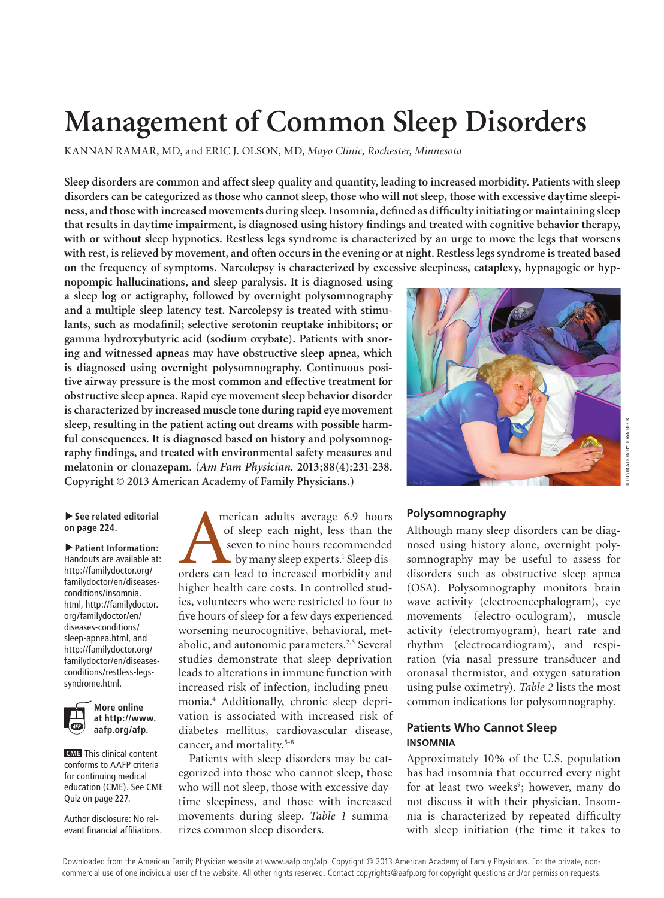# **Management of Common Sleep Disorders**

KANNAN RAMAR, MD, and ERIC J. OLSON, MD, *Mayo Clinic, Rochester, Minnesota*

**Sleep disorders are common and affect sleep quality and quantity, leading to increased morbidity. Patients with sleep disorders can be categorized as those who cannot sleep, those who will not sleep, those with excessive daytime sleepiness, and those with increased movements during sleep. Insomnia, defined as difficulty initiating or maintaining sleep that results in daytime impairment, is diagnosed using history findings and treated with cognitive behavior therapy, with or without sleep hypnotics. Restless legs syndrome is characterized by an urge to move the legs that worsens with rest, is relieved by movement, and often occurs in the evening or at night. Restless legs syndrome is treated based on the frequency of symptoms. Narcolepsy is characterized by excessive sleepiness, cataplexy, hypnagogic or hyp-**

**nopompic hallucinations, and sleep paralysis. It is diagnosed using a sleep log or actigraphy, followed by overnight polysomnography and a multiple sleep latency test. Narcolepsy is treated with stimulants, such as modafinil; selective serotonin reuptake inhibitors; or gamma hydroxybutyric acid (sodium oxybate). Patients with snoring and witnessed apneas may have obstructive sleep apnea, which is diagnosed using overnight polysomnography. Continuous positive airway pressure is the most common and effective treatment for obstructive sleep apnea. Rapid eye movement sleep behavior disorder is characterized by increased muscle tone during rapid eye movement sleep, resulting in the patient acting out dreams with possible harmful consequences. It is diagnosed based on history and polysomnography findings, and treated with environmental safety measures and melatonin or clonazepam. (***Am Fam Physician.* **2013;88(4):231-238. Copyright © 2013 American Academy of Family Physicians.)**

#### ▶ See related editorial **on page 224.**

▲ **Patient Information:**  Handouts are available at: http://familydoctor.org/ familydoctor/en/diseasesconditions/insomnia. html, http://familydoctor. org/familydoctor/en/ diseases-conditions/ sleep-apnea.html, and http://familydoctor.org/ familydoctor/en/diseasesconditions/restless-legssyndrome.html.



**More online at http://www. aafp.org/afp.**

**CME** This clinical content conforms to AAFP criteria for continuing medical education (CME). See CME Quiz on page 227.

Author disclosure: No relevant financial affiliations. merican adults average 6.9 hours<br>
of sleep each night, less than the<br>
seven to nine hours recommended<br>
by many sleep experts.<sup>1</sup> Sleep dis-<br>
orders can lead to increased morbidity and of sleep each night, less than the seven to nine hours recommended by many sleep experts.<sup>1</sup> Sleep dishigher health care costs. In controlled studies, volunteers who were restricted to four to five hours of sleep for a few days experienced worsening neurocognitive, behavioral, metabolic, and autonomic parameters.<sup>2,3</sup> Several studies demonstrate that sleep deprivation leads to alterations in immune function with increased risk of infection, including pneumonia.4 Additionally, chronic sleep deprivation is associated with increased risk of diabetes mellitus, cardiovascular disease, cancer, and mortality.5-8

Patients with sleep disorders may be categorized into those who cannot sleep, those who will not sleep, those with excessive daytime sleepiness, and those with increased movements during sleep. *Table 1* summarizes common sleep disorders.



### **Polysomnography**

Although many sleep disorders can be diagnosed using history alone, overnight polysomnography may be useful to assess for disorders such as obstructive sleep apnea (OSA). Polysomnography monitors brain wave activity (electroencephalogram), eye movements (electro-oculogram), muscle activity (electromyogram), heart rate and rhythm (electrocardiogram), and respiration (via nasal pressure transducer and oronasal thermistor, and oxygen saturation using pulse oximetry). *Table 2* lists the most common indications for polysomnography.

#### **Patients Who Cannot Sleep INSOMNIA**

Approximately 10% of the U.S. population has had insomnia that occurred every night for at least two weeks<sup>9</sup>; however, many do not discuss it with their physician. Insomnia is characterized by repeated difficulty with sleep initiation (the time it takes to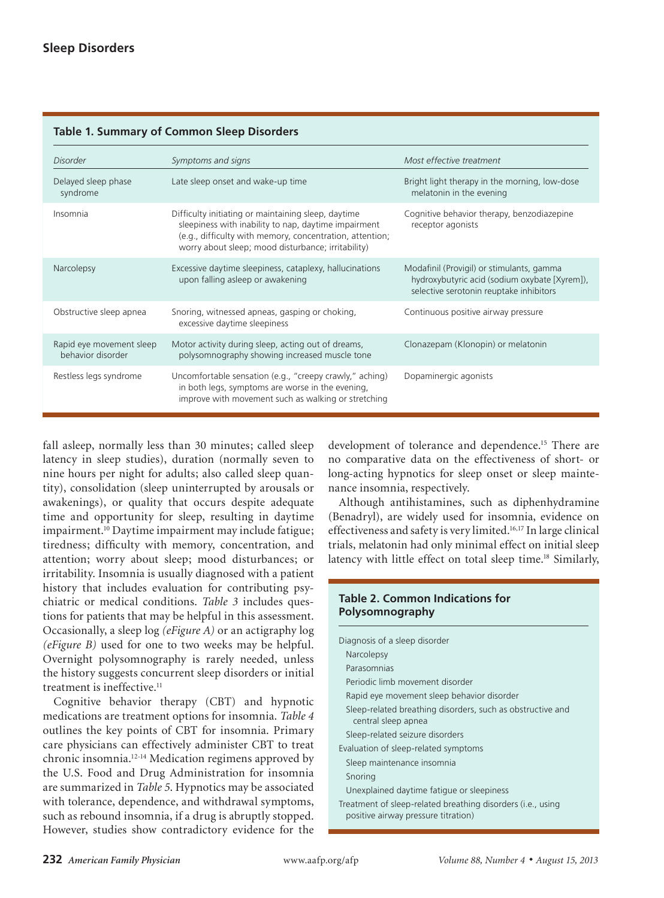|                                               | <b>1991 - 11 Julian Marcollino Deceptorucis</b>                                                                                                                                                                               |                                                                                                                                       |
|-----------------------------------------------|-------------------------------------------------------------------------------------------------------------------------------------------------------------------------------------------------------------------------------|---------------------------------------------------------------------------------------------------------------------------------------|
| Disorder                                      | Symptoms and signs                                                                                                                                                                                                            | Most effective treatment                                                                                                              |
| Delayed sleep phase<br>syndrome               | Late sleep onset and wake-up time                                                                                                                                                                                             | Bright light therapy in the morning, low-dose<br>melatonin in the evening                                                             |
| Insomnia                                      | Difficulty initiating or maintaining sleep, daytime<br>sleepiness with inability to nap, daytime impairment<br>(e.g., difficulty with memory, concentration, attention;<br>worry about sleep; mood disturbance; irritability) | Cognitive behavior therapy, benzodiazepine<br>receptor agonists                                                                       |
| Narcolepsy                                    | Excessive daytime sleepiness, cataplexy, hallucinations<br>upon falling asleep or awakening                                                                                                                                   | Modafinil (Provigil) or stimulants, gamma<br>hydroxybutyric acid (sodium oxybate [Xyrem]),<br>selective serotonin reuptake inhibitors |
| Obstructive sleep apnea                       | Snoring, witnessed apneas, gasping or choking,<br>excessive daytime sleepiness                                                                                                                                                | Continuous positive airway pressure                                                                                                   |
| Rapid eye movement sleep<br>behavior disorder | Motor activity during sleep, acting out of dreams,<br>polysomnography showing increased muscle tone                                                                                                                           | Clonazepam (Klonopin) or melatonin                                                                                                    |
| Restless legs syndrome                        | Uncomfortable sensation (e.g., "creepy crawly," aching)<br>in both legs, symptoms are worse in the evening,<br>improve with movement such as walking or stretching                                                            | Dopaminergic agonists                                                                                                                 |

## **Table 1. Summary of Common Sleep Disorders**

fall asleep, normally less than 30 minutes; called sleep latency in sleep studies), duration (normally seven to nine hours per night for adults; also called sleep quantity), consolidation (sleep uninterrupted by arousals or awakenings), or quality that occurs despite adequate time and opportunity for sleep, resulting in daytime impairment.<sup>10</sup> Daytime impairment may include fatigue; tiredness; difficulty with memory, concentration, and attention; worry about sleep; mood disturbances; or irritability. Insomnia is usually diagnosed with a patient history that includes evaluation for contributing psychiatric or medical conditions. *Table 3* includes questions for patients that may be helpful in this assessment. Occasionally, a sleep log *(eFigure A)* or an actigraphy log *(eFigure B)* used for one to two weeks may be helpful. Overnight polysomnography is rarely needed, unless the history suggests concurrent sleep disorders or initial treatment is ineffective.<sup>11</sup>

Cognitive behavior therapy (CBT) and hypnotic medications are treatment options for insomnia. *Table 4* outlines the key points of CBT for insomnia. Primary care physicians can effectively administer CBT to treat chronic insomnia.12-14 Medication regimens approved by the U.S. Food and Drug Administration for insomnia are summarized in *Table 5*. Hypnotics may be associated with tolerance, dependence, and withdrawal symptoms, such as rebound insomnia, if a drug is abruptly stopped. However, studies show contradictory evidence for the

development of tolerance and dependence.<sup>15</sup> There are no comparative data on the effectiveness of short- or long-acting hypnotics for sleep onset or sleep maintenance insomnia, respectively.

Although antihistamines, such as diphenhydramine (Benadryl), are widely used for insomnia, evidence on effectiveness and safety is very limited.16,17 In large clinical trials, melatonin had only minimal effect on initial sleep latency with little effect on total sleep time.<sup>18</sup> Similarly,

#### **Table 2. Common Indications for Polysomnography**

| Diagnosis of a sleep disorder                                                                      |
|----------------------------------------------------------------------------------------------------|
| Narcolepsy                                                                                         |
| Parasomnias                                                                                        |
| Periodic limb movement disorder                                                                    |
| Rapid eye movement sleep behavior disorder                                                         |
| Sleep-related breathing disorders, such as obstructive and<br>central sleep apnea                  |
| Sleep-related seizure disorders                                                                    |
| Evaluation of sleep-related symptoms                                                               |
| Sleep maintenance insomnia                                                                         |
| Snoring                                                                                            |
| Unexplained daytime fatique or sleepiness                                                          |
| Treatment of sleep-related breathing disorders (i.e., using<br>positive airway pressure titration) |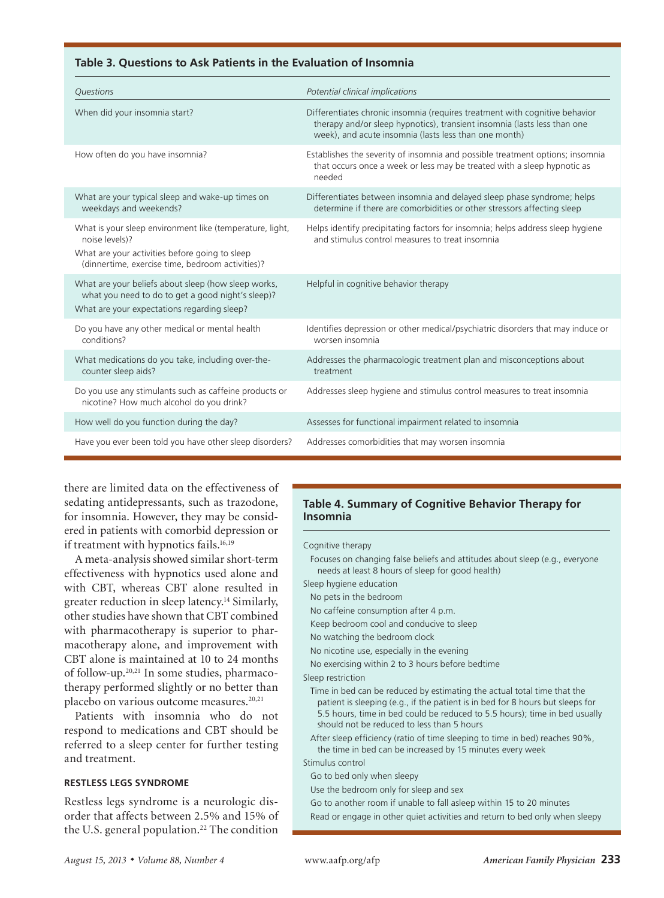#### **Table 3. Questions to Ask Patients in the Evaluation of Insomnia**

| Questions                                                                                                                                                                        | Potential clinical implications                                                                                                                                                                                  |
|----------------------------------------------------------------------------------------------------------------------------------------------------------------------------------|------------------------------------------------------------------------------------------------------------------------------------------------------------------------------------------------------------------|
| When did your insomnia start?                                                                                                                                                    | Differentiates chronic insomnia (requires treatment with cognitive behavior<br>therapy and/or sleep hypnotics), transient insomnia (lasts less than one<br>week), and acute insomnia (lasts less than one month) |
| How often do you have insomnia?                                                                                                                                                  | Establishes the severity of insomnia and possible treatment options; insomnia<br>that occurs once a week or less may be treated with a sleep hypnotic as<br>needed                                               |
| What are your typical sleep and wake-up times on<br>weekdays and weekends?                                                                                                       | Differentiates between insomnia and delayed sleep phase syndrome; helps<br>determine if there are comorbidities or other stressors affecting sleep                                                               |
| What is your sleep environment like (temperature, light,<br>noise levels)?<br>What are your activities before going to sleep<br>(dinnertime, exercise time, bedroom activities)? | Helps identify precipitating factors for insomnia; helps address sleep hygiene<br>and stimulus control measures to treat insomnia                                                                                |
| What are your beliefs about sleep (how sleep works,<br>what you need to do to get a good night's sleep)?<br>What are your expectations regarding sleep?                          | Helpful in cognitive behavior therapy                                                                                                                                                                            |
| Do you have any other medical or mental health<br>conditions?                                                                                                                    | Identifies depression or other medical/psychiatric disorders that may induce or<br>worsen insomnia                                                                                                               |
| What medications do you take, including over-the-<br>counter sleep aids?                                                                                                         | Addresses the pharmacologic treatment plan and misconceptions about<br>treatment                                                                                                                                 |
| Do you use any stimulants such as caffeine products or<br>nicotine? How much alcohol do you drink?                                                                               | Addresses sleep hygiene and stimulus control measures to treat insomnia                                                                                                                                          |
| How well do you function during the day?                                                                                                                                         | Assesses for functional impairment related to insomnia                                                                                                                                                           |
| Have you ever been told you have other sleep disorders?                                                                                                                          | Addresses comorbidities that may worsen insomnia                                                                                                                                                                 |

there are limited data on the effectiveness of sedating antidepressants, such as trazodone, for insomnia. However, they may be considered in patients with comorbid depression or if treatment with hypnotics fails.<sup>16,19</sup>

A meta-analysis showed similar short-term effectiveness with hypnotics used alone and with CBT, whereas CBT alone resulted in greater reduction in sleep latency.<sup>14</sup> Similarly, other studies have shown that CBT combined with pharmacotherapy is superior to pharmacotherapy alone, and improvement with CBT alone is maintained at 10 to 24 months of follow-up.20,21 In some studies, pharmacotherapy performed slightly or no better than placebo on various outcome measures.<sup>20,21</sup>

Patients with insomnia who do not respond to medications and CBT should be referred to a sleep center for further testing and treatment.

## **RESTLESS LEGS SYNDROME**

Restless legs syndrome is a neurologic disorder that affects between 2.5% and 15% of the U.S. general population.<sup>22</sup> The condition

### **Table 4. Summary of Cognitive Behavior Therapy for Insomnia**

#### Cognitive therapy

Focuses on changing false beliefs and attitudes about sleep (e.g., everyone needs at least 8 hours of sleep for good health)

- Sleep hygiene education
- No pets in the bedroom

No caffeine consumption after 4 p.m.

- Keep bedroom cool and conducive to sleep
- No watching the bedroom clock
- No nicotine use, especially in the evening
- No exercising within 2 to 3 hours before bedtime
- Sleep restriction
	- Time in bed can be reduced by estimating the actual total time that the patient is sleeping (e.g., if the patient is in bed for 8 hours but sleeps for 5.5 hours, time in bed could be reduced to 5.5 hours); time in bed usually should not be reduced to less than 5 hours
	- After sleep efficiency (ratio of time sleeping to time in bed) reaches 90%, the time in bed can be increased by 15 minutes every week

#### Stimulus control

- Go to bed only when sleepy
- Use the bedroom only for sleep and sex
- Go to another room if unable to fall asleep within 15 to 20 minutes
- Read or engage in other quiet activities and return to bed only when sleepy

**Sleep Disorders**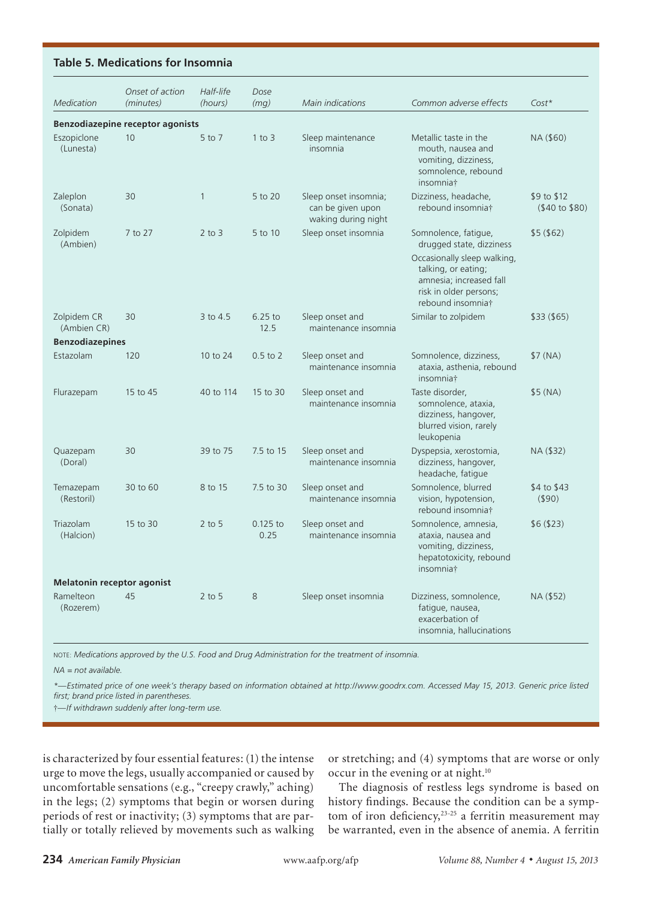#### **Table 5. Medications for Insomnia**

**Sleep Disorders**

| Medication                                           | Onset of action<br>(minutes)     | Half-life<br>(hours) | Dose<br>(mg)       | Main indications                                                  | Common adverse effects                                                                                                                                                           | $Cost*$                               |
|------------------------------------------------------|----------------------------------|----------------------|--------------------|-------------------------------------------------------------------|----------------------------------------------------------------------------------------------------------------------------------------------------------------------------------|---------------------------------------|
|                                                      | Benzodiazepine receptor agonists |                      |                    |                                                                   |                                                                                                                                                                                  |                                       |
| Eszopiclone<br>(Lunesta)                             | 10                               | 5 to 7               | $1$ to $3$         | Sleep maintenance<br>insomnia                                     | Metallic taste in the<br>mouth, nausea and<br>vomiting, dizziness,<br>somnolence, rebound<br>insomnia†                                                                           | NA (\$60)                             |
| Zaleplon<br>(Sonata)                                 | 30                               | $\mathbf{1}$         | $5$ to $20$        | Sleep onset insomnia;<br>can be given upon<br>waking during night | Dizziness, headache,<br>rebound insomniat                                                                                                                                        | \$9 to \$12<br>$(40 \text{ to } $80)$ |
| Zolpidem<br>(Ambien)                                 | 7 to 27                          | $2$ to $3$           | 5 to 10            | Sleep onset insomnia                                              | Somnolence, fatigue,<br>drugged state, dizziness<br>Occasionally sleep walking,<br>talking, or eating;<br>amnesia; increased fall<br>risk in older persons;<br>rebound insomnia† | \$5(\$62)                             |
| Zolpidem CR<br>(Ambien CR)<br><b>Benzodiazepines</b> | 30                               | 3 to 4.5             | $6.25$ to<br>12.5  | Sleep onset and<br>maintenance insomnia                           | Similar to zolpidem                                                                                                                                                              | \$33(\$65)                            |
| Estazolam                                            | 120                              | 10 to 24             | $0.5$ to $2$       | Sleep onset and<br>maintenance insomnia                           | Somnolence, dizziness,<br>ataxia, asthenia, rebound<br>insomnia <sup>+</sup>                                                                                                     | \$7(NA)                               |
| Flurazepam                                           | 15 to 45                         | 40 to 114            | 15 to 30           | Sleep onset and<br>maintenance insomnia                           | Taste disorder,<br>somnolence, ataxia,<br>dizziness, hangover,<br>blurred vision, rarely<br>leukopenia                                                                           | \$5(NA)                               |
| Quazepam<br>(Doral)                                  | 30                               | 39 to 75             | 7.5 to 15          | Sleep onset and<br>maintenance insomnia                           | Dyspepsia, xerostomia,<br>dizziness, hangover,<br>headache, fatique                                                                                                              | NA (\$32)                             |
| Temazepam<br>(Restoril)                              | 30 to 60                         | 8 to 15              | 7.5 to 30          | Sleep onset and<br>maintenance insomnia                           | Somnolence, blurred<br>vision, hypotension,<br>rebound insomnia†                                                                                                                 | \$4 to \$43<br>(590)                  |
| <b>Triazolam</b><br>(Halcion)                        | 15 to 30                         | $2$ to 5             | $0.125$ to<br>0.25 | Sleep onset and<br>maintenance insomnia                           | Somnolence, amnesia,<br>ataxia, nausea and<br>vomiting, dizziness,<br>hepatotoxicity, rebound<br>insomnia†                                                                       | \$6(\$23)                             |
| <b>Melatonin receptor agonist</b>                    |                                  |                      |                    |                                                                   |                                                                                                                                                                                  |                                       |
| Ramelteon<br>(Rozerem)                               | 45                               | $2$ to 5             | 8                  | Sleep onset insomnia                                              | Dizziness, somnolence,<br>fatique, nausea,<br>exacerbation of<br>insomnia, hallucinations                                                                                        | NA (\$52)                             |

NOTE: *Medications approved by the U.S. Food and Drug Administration for the treatment of insomnia.*

*NA = not available.*

*\*—Estimated price of one week's therapy based on information obtained at http://www.goodrx.com. Accessed May 15, 2013. Generic price listed first; brand price listed in parentheses.*

†*—If withdrawn suddenly after long-term use.*

is characterized by four essential features: (1) the intense urge to move the legs, usually accompanied or caused by uncomfortable sensations (e.g., "creepy crawly," aching) in the legs; (2) symptoms that begin or worsen during periods of rest or inactivity; (3) symptoms that are partially or totally relieved by movements such as walking

or stretching; and (4) symptoms that are worse or only occur in the evening or at night.<sup>10</sup>

The diagnosis of restless legs syndrome is based on history findings. Because the condition can be a symptom of iron deficiency,<sup>23-25</sup> a ferritin measurement may be warranted, even in the absence of anemia. A ferritin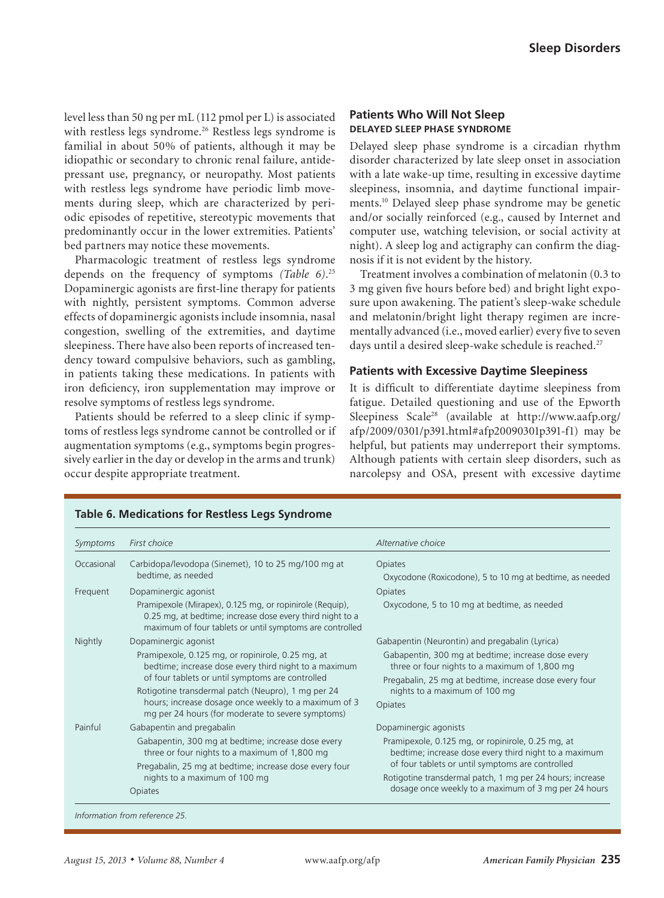level less than 50 ng per mL (112 pmol per L) is associated with restless legs syndrome.<sup>26</sup> Restless legs syndrome is familial in about 50% of patients, although it may be idiopathic or secondary to chronic renal failure, antidepressant use, pregnancy, or neuropathy. Most patients with restless legs syndrome have periodic limb movements during sleep, which are characterized by periodic episodes of repetitive, stereotypic movements that predominantly occur in the lower extremities. Patients' bed partners may notice these movements.

Pharmacologic treatment of restless legs syndrome depends on the frequency of symptoms *(Table 6)*. 25 Dopaminergic agonists are first-line therapy for patients with nightly, persistent symptoms. Common adverse effects of dopaminergic agonists include insomnia, nasal congestion, swelling of the extremities, and daytime sleepiness. There have also been reports of increased tendency toward compulsive behaviors, such as gambling, in patients taking these medications. In patients with iron deficiency, iron supplementation may improve or resolve symptoms of restless legs syndrome.

Patients should be referred to a sleep clinic if symptoms of restless legs syndrome cannot be controlled or if augmentation symptoms (e.g., symptoms begin progressively earlier in the day or develop in the arms and trunk) occur despite appropriate treatment.

#### **Patients Who Will Not Sleep DELAYED SLEEP PHASE SYNDROME**

Delayed sleep phase syndrome is a circadian rhythm disorder characterized by late sleep onset in association with a late wake-up time, resulting in excessive daytime sleepiness, insomnia, and daytime functional impairments.10 Delayed sleep phase syndrome may be genetic and/or socially reinforced (e.g., caused by Internet and computer use, watching television, or social activity at night). A sleep log and actigraphy can confirm the diagnosis if it is not evident by the history.

Treatment involves a combination of melatonin (0.3 to 3 mg given five hours before bed) and bright light exposure upon awakening. The patient's sleep-wake schedule and melatonin/bright light therapy regimen are incrementally advanced (i.e., moved earlier) every five to seven days until a desired sleep-wake schedule is reached.<sup>27</sup>

#### **Patients with Excessive Daytime Sleepiness**

It is difficult to differentiate daytime sleepiness from fatigue. Detailed questioning and use of the Epworth Sleepiness Scale28 (available at http://www.aafp.org/ afp/2009/0301/p391.html#afp20090301p391-f1) may be helpful, but patients may underreport their symptoms. Although patients with certain sleep disorders, such as narcolepsy and OSA, present with excessive daytime

| Symptoms   | First choice                                                                                                                                                                                                                                                                                                                      | Alternative choice                                                                                                                                                                                                                                                                  |
|------------|-----------------------------------------------------------------------------------------------------------------------------------------------------------------------------------------------------------------------------------------------------------------------------------------------------------------------------------|-------------------------------------------------------------------------------------------------------------------------------------------------------------------------------------------------------------------------------------------------------------------------------------|
| Occasional | Carbidopa/levodopa (Sinemet), 10 to 25 mg/100 mg at<br>bedtime, as needed                                                                                                                                                                                                                                                         | <b>Opiates</b><br>Oxycodone (Roxicodone), 5 to 10 mg at bedtime, as needed                                                                                                                                                                                                          |
| Frequent   | Dopaminergic agonist                                                                                                                                                                                                                                                                                                              | Opiates                                                                                                                                                                                                                                                                             |
|            | Pramipexole (Mirapex), 0.125 mg, or ropinirole (Requip),<br>0.25 mg, at bedtime; increase dose every third night to a<br>maximum of four tablets or until symptoms are controlled                                                                                                                                                 | Oxycodone, 5 to 10 mg at bedtime, as needed                                                                                                                                                                                                                                         |
| Nightly    | Dopaminergic agonist                                                                                                                                                                                                                                                                                                              | Gabapentin (Neurontin) and pregabalin (Lyrica)                                                                                                                                                                                                                                      |
|            | Pramipexole, 0.125 mg, or ropinirole, 0.25 mg, at<br>bedtime; increase dose every third night to a maximum<br>of four tablets or until symptoms are controlled<br>Rotigotine transdermal patch (Neupro), 1 mg per 24<br>hours; increase dosage once weekly to a maximum of 3<br>mg per 24 hours (for moderate to severe symptoms) | Gabapentin, 300 mg at bedtime; increase dose every<br>three or four nights to a maximum of 1,800 mg<br>Pregabalin, 25 mg at bedtime, increase dose every four<br>nights to a maximum of 100 mg<br>Opiates                                                                           |
| Painful    | Gabapentin and pregabalin                                                                                                                                                                                                                                                                                                         | Dopaminergic agonists                                                                                                                                                                                                                                                               |
|            | Gabapentin, 300 mg at bedtime; increase dose every<br>three or four nights to a maximum of 1,800 mg<br>Pregabalin, 25 mg at bedtime; increase dose every four<br>nights to a maximum of 100 mg<br><b>Opiates</b>                                                                                                                  | Pramipexole, 0.125 mg, or ropinirole, 0.25 mg, at<br>bedtime; increase dose every third night to a maximum<br>of four tablets or until symptoms are controlled<br>Rotigotine transdermal patch, 1 mg per 24 hours; increase<br>dosage once weekly to a maximum of 3 mg per 24 hours |

# **Table 6. Medications for Restless Legs Syndrome**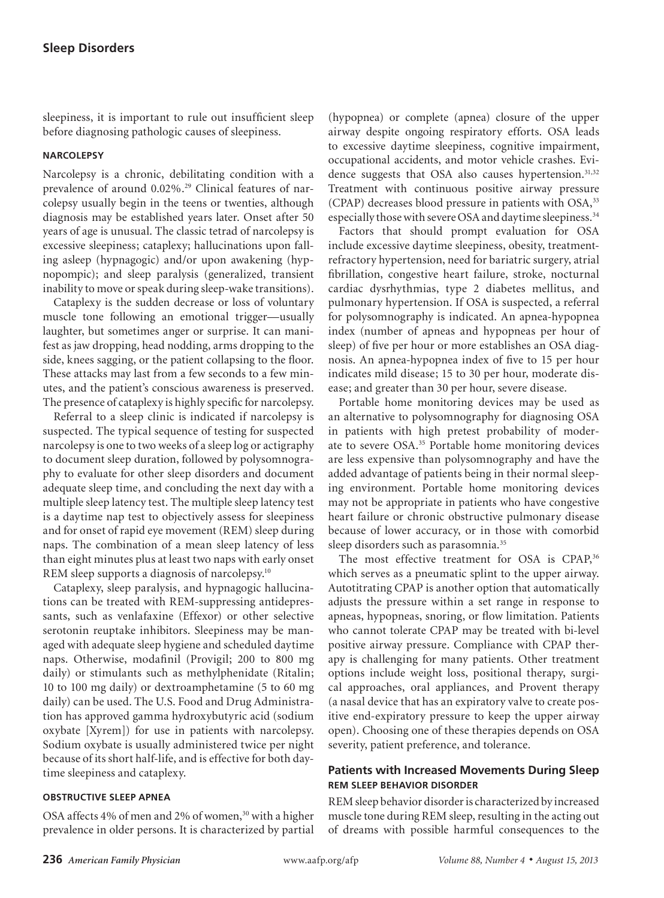sleepiness, it is important to rule out insufficient sleep before diagnosing pathologic causes of sleepiness.

#### **NARCOLEPSY**

Narcolepsy is a chronic, debilitating condition with a prevalence of around 0.02%.<sup>29</sup> Clinical features of narcolepsy usually begin in the teens or twenties, although diagnosis may be established years later. Onset after 50 years of age is unusual. The classic tetrad of narcolepsy is excessive sleepiness; cataplexy; hallucinations upon falling asleep (hypnagogic) and/or upon awakening (hypnopompic); and sleep paralysis (generalized, transient inability to move or speak during sleep-wake transitions).

Cataplexy is the sudden decrease or loss of voluntary muscle tone following an emotional trigger—usually laughter, but sometimes anger or surprise. It can manifest as jaw dropping, head nodding, arms dropping to the side, knees sagging, or the patient collapsing to the floor. These attacks may last from a few seconds to a few minutes, and the patient's conscious awareness is preserved. The presence of cataplexy is highly specific for narcolepsy.

Referral to a sleep clinic is indicated if narcolepsy is suspected. The typical sequence of testing for suspected narcolepsy is one to two weeks of a sleep log or actigraphy to document sleep duration, followed by polysomnography to evaluate for other sleep disorders and document adequate sleep time, and concluding the next day with a multiple sleep latency test. The multiple sleep latency test is a daytime nap test to objectively assess for sleepiness and for onset of rapid eye movement (REM) sleep during naps. The combination of a mean sleep latency of less than eight minutes plus at least two naps with early onset REM sleep supports a diagnosis of narcolepsy.10

Cataplexy, sleep paralysis, and hypnagogic hallucinations can be treated with REM-suppressing antidepressants, such as venlafaxine (Effexor) or other selective serotonin reuptake inhibitors. Sleepiness may be managed with adequate sleep hygiene and scheduled daytime naps. Otherwise, modafinil (Provigil; 200 to 800 mg daily) or stimulants such as methylphenidate (Ritalin; 10 to 100 mg daily) or dextroamphetamine (5 to 60 mg daily) can be used. The U.S. Food and Drug Administration has approved gamma hydroxybutyric acid (sodium oxybate [Xyrem]) for use in patients with narcolepsy. Sodium oxybate is usually administered twice per night because of its short half-life, and is effective for both daytime sleepiness and cataplexy.

#### **OBSTRUCTIVE SLEEP APNEA**

OSA affects 4% of men and 2% of women,<sup>30</sup> with a higher prevalence in older persons. It is characterized by partial

(hypopnea) or complete (apnea) closure of the upper airway despite ongoing respiratory efforts. OSA leads to excessive daytime sleepiness, cognitive impairment, occupational accidents, and motor vehicle crashes. Evidence suggests that OSA also causes hypertension.<sup>31,32</sup> Treatment with continuous positive airway pressure (CPAP) decreases blood pressure in patients with OSA,<sup>33</sup> especially those with severe OSA and daytime sleepiness.<sup>34</sup>

Factors that should prompt evaluation for OSA include excessive daytime sleepiness, obesity, treatmentrefractory hypertension, need for bariatric surgery, atrial fibrillation, congestive heart failure, stroke, nocturnal cardiac dysrhythmias, type 2 diabetes mellitus, and pulmonary hypertension. If OSA is suspected, a referral for polysomnography is indicated. An apnea-hypopnea index (number of apneas and hypopneas per hour of sleep) of five per hour or more establishes an OSA diagnosis. An apnea-hypopnea index of five to 15 per hour indicates mild disease; 15 to 30 per hour, moderate disease; and greater than 30 per hour, severe disease.

Portable home monitoring devices may be used as an alternative to polysomnography for diagnosing OSA in patients with high pretest probability of moderate to severe OSA.35 Portable home monitoring devices are less expensive than polysomnography and have the added advantage of patients being in their normal sleeping environment. Portable home monitoring devices may not be appropriate in patients who have congestive heart failure or chronic obstructive pulmonary disease because of lower accuracy, or in those with comorbid sleep disorders such as parasomnia.<sup>35</sup>

The most effective treatment for OSA is CPAP,<sup>36</sup> which serves as a pneumatic splint to the upper airway. Autotitrating CPAP is another option that automatically adjusts the pressure within a set range in response to apneas, hypopneas, snoring, or flow limitation. Patients who cannot tolerate CPAP may be treated with bi-level positive airway pressure. Compliance with CPAP therapy is challenging for many patients. Other treatment options include weight loss, positional therapy, surgical approaches, oral appliances, and Provent therapy (a nasal device that has an expiratory valve to create positive end-expiratory pressure to keep the upper airway open). Choosing one of these therapies depends on OSA severity, patient preference, and tolerance.

## **Patients with Increased Movements During Sleep REM SLEEP BEHAVIOR DISORDER**

REM sleep behavior disorder is characterized by increased muscle tone during REM sleep, resulting in the acting out of dreams with possible harmful consequences to the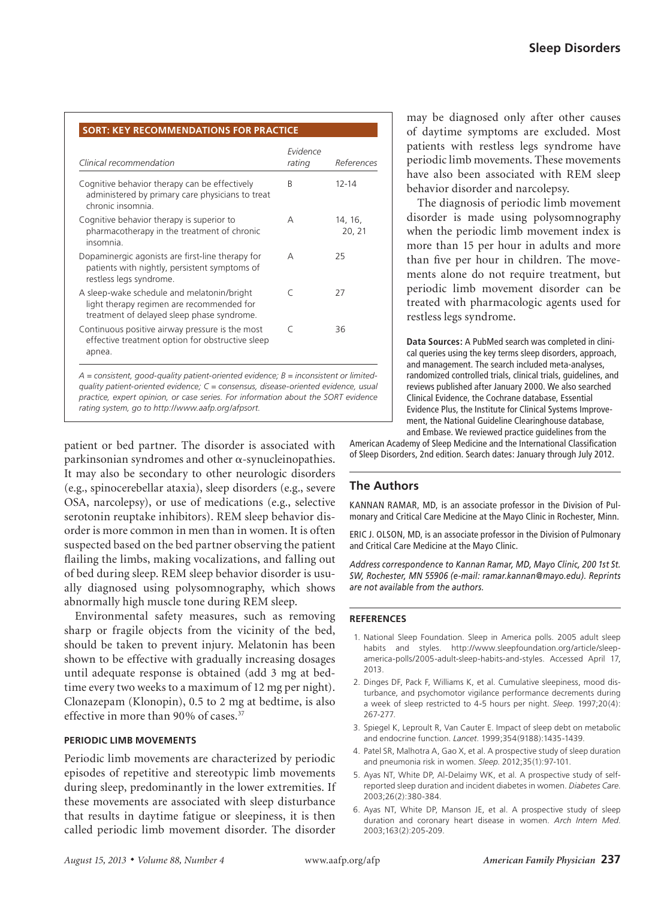| Clinical recommendation                                                                                                               | Evidence<br>rating | References        |
|---------------------------------------------------------------------------------------------------------------------------------------|--------------------|-------------------|
| Cognitive behavior therapy can be effectively<br>administered by primary care physicians to treat<br>chronic insomnia.                | R                  | $12 - 14$         |
| Cognitive behavior therapy is superior to<br>pharmacotherapy in the treatment of chronic<br>insomnia.                                 | A                  | 14, 16,<br>20, 21 |
| Dopaminergic agonists are first-line therapy for<br>patients with nightly, persistent symptoms of<br>restless legs syndrome.          | А                  | 25                |
| A sleep-wake schedule and melatonin/bright<br>light therapy regimen are recommended for<br>treatment of delayed sleep phase syndrome. | $\subset$          | 27                |
| Continuous positive airway pressure is the most<br>effective treatment option for obstructive sleep<br>apnea.                         | $\subset$          | 36                |

*A = consistent, good-quality patient-oriented evidence; B = inconsistent or limitedquality patient-oriented evidence; C = consensus, disease-oriented evidence, usual practice, expert opinion, or case series. For information about the SORT evidence rating system, go to http://www.aafp.org/afpsort.*

patient or bed partner. The disorder is associated with parkinsonian syndromes and other  $\alpha$ -synucleinopathies. It may also be secondary to other neurologic disorders (e.g., spinocerebellar ataxia), sleep disorders (e.g., severe OSA, narcolepsy), or use of medications (e.g., selective serotonin reuptake inhibitors). REM sleep behavior disorder is more common in men than in women. It is often suspected based on the bed partner observing the patient flailing the limbs, making vocalizations, and falling out of bed during sleep. REM sleep behavior disorder is usually diagnosed using polysomnography, which shows abnormally high muscle tone during REM sleep.

Environmental safety measures, such as removing sharp or fragile objects from the vicinity of the bed, should be taken to prevent injury. Melatonin has been shown to be effective with gradually increasing dosages until adequate response is obtained (add 3 mg at bedtime every two weeks to a maximum of 12 mg per night). Clonazepam (Klonopin), 0.5 to 2 mg at bedtime, is also effective in more than 90% of cases.37

#### **PERIODIC LIMB MOVEMENTS**

Periodic limb movements are characterized by periodic episodes of repetitive and stereotypic limb movements during sleep, predominantly in the lower extremities. If these movements are associated with sleep disturbance that results in daytime fatigue or sleepiness, it is then called periodic limb movement disorder. The disorder

may be diagnosed only after other causes of daytime symptoms are excluded. Most patients with restless legs syndrome have periodic limb movements. These movements have also been associated with REM sleep behavior disorder and narcolepsy.

The diagnosis of periodic limb movement disorder is made using polysomnography when the periodic limb movement index is more than 15 per hour in adults and more than five per hour in children. The movements alone do not require treatment, but periodic limb movement disorder can be treated with pharmacologic agents used for restless legs syndrome.

**Data Sources:** A PubMed search was completed in clinical queries using the key terms sleep disorders, approach, and management. The search included meta-analyses, randomized controlled trials, clinical trials, guidelines, and reviews published after January 2000. We also searched Clinical Evidence, the Cochrane database, Essential Evidence Plus, the Institute for Clinical Systems Improvement, the National Guideline Clearinghouse database, and Embase. We reviewed practice guidelines from the

American Academy of Sleep Medicine and the International Classification of Sleep Disorders, 2nd edition. Search dates: January through July 2012.

### **The Authors**

KANNAN RAMAR, MD, is an associate professor in the Division of Pulmonary and Critical Care Medicine at the Mayo Clinic in Rochester, Minn.

ERIC J. OLSON, MD, is an associate professor in the Division of Pulmonary and Critical Care Medicine at the Mayo Clinic.

*Address correspondence to Kannan Ramar, MD, Mayo Clinic, 200 1st St. SW, Rochester, MN 55906 (e-mail: ramar.kannan@mayo.edu). Reprints are not available from the authors.* 

#### **REFERENCES**

- 1. National Sleep Foundation. Sleep in America polls. 2005 adult sleep habits and styles. http://www.sleepfoundation.org/article/sleepamerica-polls/2005-adult-sleep-habits-and-styles. Accessed April 17, 2013.
- 2. Dinges DF, Pack F, Williams K, et al. Cumulative sleepiness, mood disturbance, and psychomotor vigilance performance decrements during a week of sleep restricted to 4-5 hours per night. *Sleep*. 1997;20(4): 267-277.
- 3. Spiegel K, Leproult R, Van Cauter E. Impact of sleep debt on metabolic and endocrine function. *Lancet*. 1999;354(9188):1435-1439.
- 4. Patel SR, Malhotra A, Gao X, et al. A prospective study of sleep duration and pneumonia risk in women. *Sleep*. 2012;35(1):97-101.
- 5. Ayas NT, White DP, Al-Delaimy WK, et al. A prospective study of selfreported sleep duration and incident diabetes in women. *Diabetes Care*. 2003;26(2):380-384.
- 6. Ayas NT, White DP, Manson JE, et al. A prospective study of sleep duration and coronary heart disease in women. *Arch Intern Med*. 2003;163(2):205-209.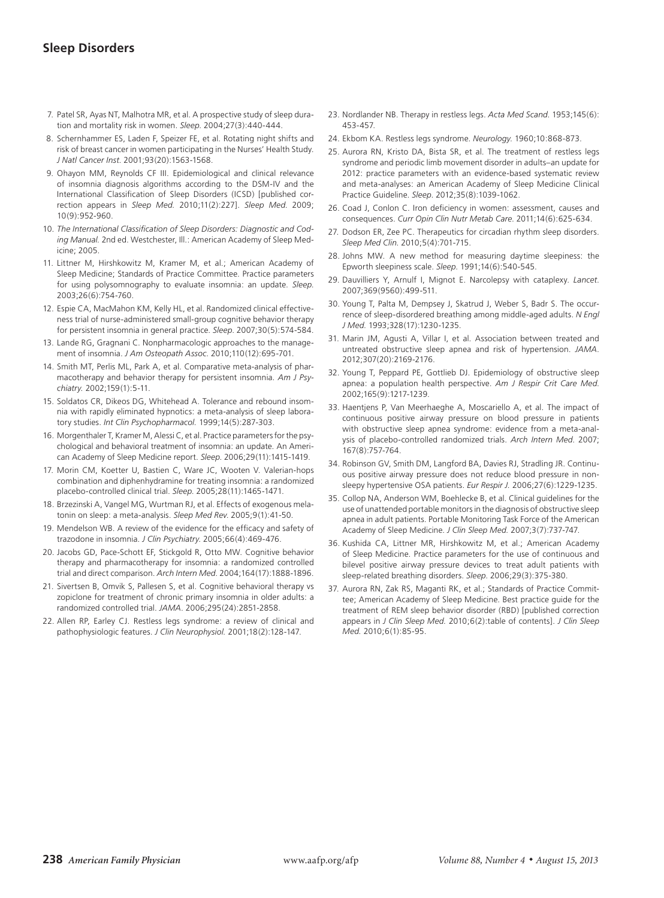# **Sleep Disorders**

- 7. Patel SR, Ayas NT, Malhotra MR, et al. A prospective study of sleep duration and mortality risk in women. *Sleep*. 2004;27(3):440-444.
- 8. Schernhammer ES, Laden F, Speizer FE, et al. Rotating night shifts and risk of breast cancer in women participating in the Nurses' Health Study. *J Natl Cancer Inst*. 2001;93(20):1563-1568.
- 9. Ohayon MM, Reynolds CF III. Epidemiological and clinical relevance of insomnia diagnosis algorithms according to the DSM-IV and the International Classification of Sleep Disorders (ICSD) [published correction appears in *Sleep Med.* 2010;11(2):227]. *Sleep Med*. 2009; 10(9):952-960.
- 10. *The International Classification of Sleep Disorders: Diagnostic and Coding Manual.* 2nd ed. Westchester, Ill.: American Academy of Sleep Medicine; 2005.
- 11. Littner M, Hirshkowitz M, Kramer M, et al.; American Academy of Sleep Medicine; Standards of Practice Committee. Practice parameters for using polysomnography to evaluate insomnia: an update. *Sleep*. 2003;26(6):754-760.
- 12. Espie CA, MacMahon KM, Kelly HL, et al. Randomized clinical effectiveness trial of nurse-administered small-group cognitive behavior therapy for persistent insomnia in general practice. *Sleep*. 2007;30(5):574-584.
- 13. Lande RG, Gragnani C. Nonpharmacologic approaches to the management of insomnia. *J Am Osteopath Assoc*. 2010;110(12):695-701.
- 14. Smith MT, Perlis ML, Park A, et al. Comparative meta-analysis of pharmacotherapy and behavior therapy for persistent insomnia. *Am J Psychiatry.* 2002;159(1):5-11.
- 15. Soldatos CR, Dikeos DG, Whitehead A. Tolerance and rebound insomnia with rapidly eliminated hypnotics: a meta-analysis of sleep laboratory studies. *Int Clin Psychopharmacol.* 1999;14(5):287-303.
- 16. Morgenthaler T, Kramer M, Alessi C, et al. Practice parameters for the psychological and behavioral treatment of insomnia: an update. An American Academy of Sleep Medicine report. *Sleep*. 2006;29(11):1415-1419.
- 17. Morin CM, Koetter U, Bastien C, Ware JC, Wooten V. Valerian-hops combination and diphenhydramine for treating insomnia: a randomized placebo-controlled clinical trial. *Sleep*. 2005;28(11):1465-1471.
- 18. Brzezinski A, Vangel MG, Wurtman RJ, et al. Effects of exogenous melatonin on sleep: a meta-analysis. *Sleep Med Rev*. 2005;9(1):41-50.
- 19. Mendelson WB. A review of the evidence for the efficacy and safety of trazodone in insomnia. *J Clin Psychiatry*. 2005;66(4):469-476.
- 20. Jacobs GD, Pace-Schott EF, Stickgold R, Otto MW. Cognitive behavior therapy and pharmacotherapy for insomnia: a randomized controlled trial and direct comparison. *Arch Intern Med*. 2004;164(17):1888-1896.
- 21. Sivertsen B, Omvik S, Pallesen S, et al. Cognitive behavioral therapy vs zopiclone for treatment of chronic primary insomnia in older adults: a randomized controlled trial. *JAMA*. 2006;295(24):2851-2858.
- 22. Allen RP, Earley CJ. Restless legs syndrome: a review of clinical and pathophysiologic features. *J Clin Neurophysiol.* 2001;18(2):128-147.
- 23. Nordlander NB. Therapy in restless legs. *Acta Med Scand*. 1953;145(6): 453-457.
- 24. Ekbom KA. Restless legs syndrome. *Neurology*. 1960;10:868-873.
- 25. Aurora RN, Kristo DA, Bista SR, et al. The treatment of restless legs syndrome and periodic limb movement disorder in adults–an update for 2012: practice parameters with an evidence-based systematic review and meta-analyses: an American Academy of Sleep Medicine Clinical Practice Guideline. *Sleep*. 2012;35(8):1039-1062.
- 26. Coad J, Conlon C. Iron deficiency in women: assessment, causes and consequences. *Curr Opin Clin Nutr Metab Care*. 2011;14(6):625-634.
- 27. Dodson ER, Zee PC. Therapeutics for circadian rhythm sleep disorders. *Sleep Med Clin*. 2010;5(4):701-715.
- 28. Johns MW. A new method for measuring daytime sleepiness: the Epworth sleepiness scale. *Sleep*. 1991;14(6):540-545.
- 29. Dauvilliers Y, Arnulf I, Mignot E. Narcolepsy with cataplexy. *Lancet*. 2007;369(9560):499-511.
- 30. Young T, Palta M, Dempsey J, Skatrud J, Weber S, Badr S. The occurrence of sleep-disordered breathing among middle-aged adults. *N Engl J Med*. 1993;328(17):1230-1235.
- 31. Marin JM, Agusti A, Villar I, et al. Association between treated and untreated obstructive sleep apnea and risk of hypertension. *JAMA*. 2012;307(20):2169-2176.
- 32. Young T, Peppard PE, Gottlieb DJ. Epidemiology of obstructive sleep apnea: a population health perspective. *Am J Respir Crit Care Med*. 2002;165(9):1217-1239.
- 33. Haentjens P, Van Meerhaeghe A, Moscariello A, et al. The impact of continuous positive airway pressure on blood pressure in patients with obstructive sleep apnea syndrome: evidence from a meta-analysis of placebo-controlled randomized trials. *Arch Intern Med*. 2007; 167(8):757-764.
- 34. Robinson GV, Smith DM, Langford BA, Davies RJ, Stradling JR. Continuous positive airway pressure does not reduce blood pressure in nonsleepy hypertensive OSA patients. *Eur Respir J.* 2006;27(6):1229-1235.
- 35. Collop NA, Anderson WM, Boehlecke B, et al. Clinical guidelines for the use of unattended portable monitors in the diagnosis of obstructive sleep apnea in adult patients. Portable Monitoring Task Force of the American Academy of Sleep Medicine. *J Clin Sleep Med.* 2007;3(7):737-747.
- 36. Kushida CA, Littner MR, Hirshkowitz M, et al.; American Academy of Sleep Medicine. Practice parameters for the use of continuous and bilevel positive airway pressure devices to treat adult patients with sleep-related breathing disorders. *Sleep*. 2006;29(3):375-380.
- 37. Aurora RN, Zak RS, Maganti RK, et al.; Standards of Practice Committee; American Academy of Sleep Medicine. Best practice guide for the treatment of REM sleep behavior disorder (RBD) [published correction appears in *J Clin Sleep Med.* 2010;6(2):table of contents]. *J Clin Sleep Med.* 2010;6(1):85-95.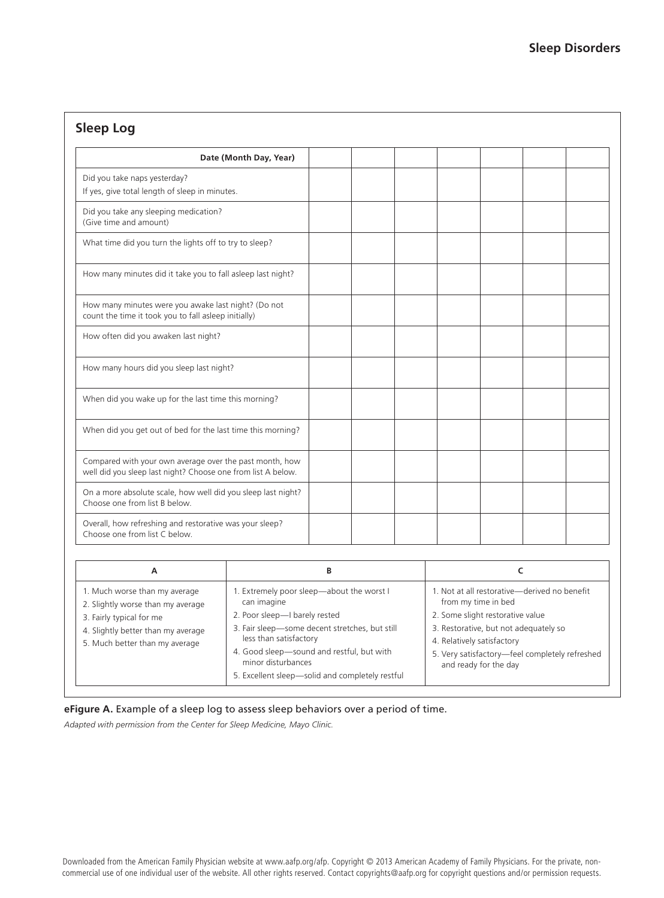# **Sleep Log**

| Date (Month Day, Year)                                                                                                  |  |  |  |  |
|-------------------------------------------------------------------------------------------------------------------------|--|--|--|--|
| Did you take naps yesterday?<br>If yes, give total length of sleep in minutes.                                          |  |  |  |  |
| Did you take any sleeping medication?<br>(Give time and amount)                                                         |  |  |  |  |
| What time did you turn the lights off to try to sleep?                                                                  |  |  |  |  |
| How many minutes did it take you to fall asleep last night?                                                             |  |  |  |  |
| How many minutes were you awake last night? (Do not<br>count the time it took you to fall asleep initially)             |  |  |  |  |
| How often did you awaken last night?                                                                                    |  |  |  |  |
| How many hours did you sleep last night?                                                                                |  |  |  |  |
| When did you wake up for the last time this morning?                                                                    |  |  |  |  |
| When did you get out of bed for the last time this morning?                                                             |  |  |  |  |
| Compared with your own average over the past month, how<br>well did you sleep last night? Choose one from list A below. |  |  |  |  |
| On a more absolute scale, how well did you sleep last night?<br>Choose one from list B below.                           |  |  |  |  |
| Overall, how refreshing and restorative was your sleep?<br>Choose one from list C below.                                |  |  |  |  |

| A                                                                                                                                                                      | B                                                                                                                                                                                                                                                                                           |                                                                                                                                                                                                                                                           |
|------------------------------------------------------------------------------------------------------------------------------------------------------------------------|---------------------------------------------------------------------------------------------------------------------------------------------------------------------------------------------------------------------------------------------------------------------------------------------|-----------------------------------------------------------------------------------------------------------------------------------------------------------------------------------------------------------------------------------------------------------|
| 1. Much worse than my average<br>2. Slightly worse than my average<br>3. Fairly typical for me<br>4. Slightly better than my average<br>5. Much better than my average | 1. Extremely poor sleep-about the worst I<br>can imagine<br>2. Poor sleep-I barely rested<br>3. Fair sleep-some decent stretches, but still<br>less than satisfactory<br>4. Good sleep-sound and restful, but with<br>minor disturbances<br>5. Excellent sleep-solid and completely restful | 1. Not at all restorative—derived no benefit<br>from my time in bed<br>2. Some slight restorative value<br>3. Restorative, but not adequately so<br>4. Relatively satisfactory<br>5. Very satisfactory-feel completely refreshed<br>and ready for the day |

#### **eFigure A.** Example of a sleep log to assess sleep behaviors over a period of time.

*Adapted with permission from the Center for Sleep Medicine, Mayo Clinic.*